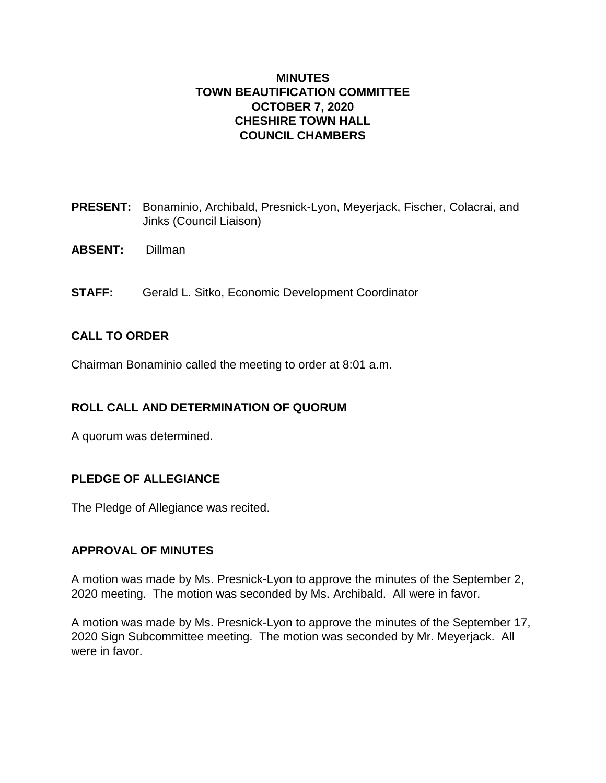### **MINUTES TOWN BEAUTIFICATION COMMITTEE OCTOBER 7, 2020 CHESHIRE TOWN HALL COUNCIL CHAMBERS**

- **PRESENT:** Bonaminio, Archibald, Presnick-Lyon, Meyerjack, Fischer, Colacrai, and Jinks (Council Liaison)
- **ABSENT:** Dillman
- **STAFF:** Gerald L. Sitko, Economic Development Coordinator

### **CALL TO ORDER**

Chairman Bonaminio called the meeting to order at 8:01 a.m.

# **ROLL CALL AND DETERMINATION OF QUORUM**

A quorum was determined.

# **PLEDGE OF ALLEGIANCE**

The Pledge of Allegiance was recited.

### **APPROVAL OF MINUTES**

A motion was made by Ms. Presnick-Lyon to approve the minutes of the September 2, 2020 meeting. The motion was seconded by Ms. Archibald. All were in favor.

A motion was made by Ms. Presnick-Lyon to approve the minutes of the September 17, 2020 Sign Subcommittee meeting. The motion was seconded by Mr. Meyerjack. All were in favor.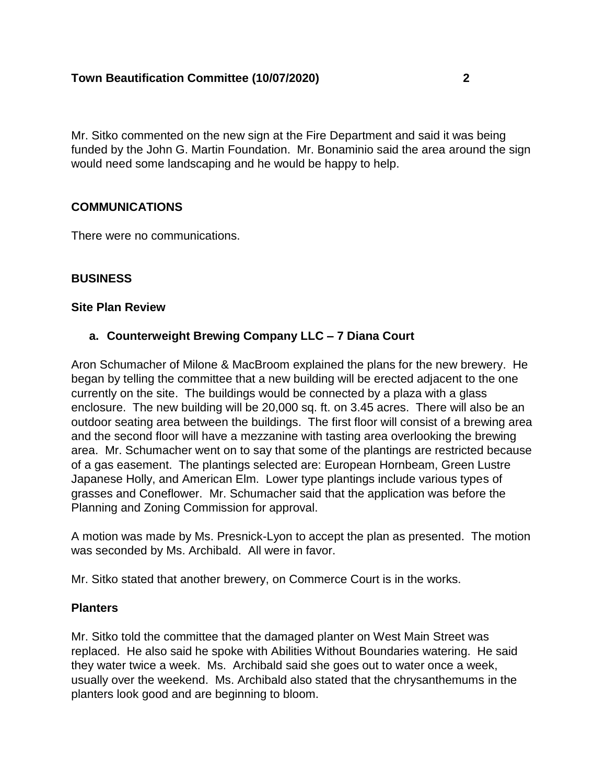### **Town Beautification Committee (10/07/2020) 2**

Mr. Sitko commented on the new sign at the Fire Department and said it was being funded by the John G. Martin Foundation. Mr. Bonaminio said the area around the sign would need some landscaping and he would be happy to help.

### **COMMUNICATIONS**

There were no communications.

#### **BUSINESS**

#### **Site Plan Review**

### **a. Counterweight Brewing Company LLC – 7 Diana Court**

Aron Schumacher of Milone & MacBroom explained the plans for the new brewery. He began by telling the committee that a new building will be erected adjacent to the one currently on the site. The buildings would be connected by a plaza with a glass enclosure. The new building will be 20,000 sq. ft. on 3.45 acres. There will also be an outdoor seating area between the buildings. The first floor will consist of a brewing area and the second floor will have a mezzanine with tasting area overlooking the brewing area. Mr. Schumacher went on to say that some of the plantings are restricted because of a gas easement. The plantings selected are: European Hornbeam, Green Lustre Japanese Holly, and American Elm. Lower type plantings include various types of grasses and Coneflower. Mr. Schumacher said that the application was before the Planning and Zoning Commission for approval.

A motion was made by Ms. Presnick-Lyon to accept the plan as presented. The motion was seconded by Ms. Archibald. All were in favor.

Mr. Sitko stated that another brewery, on Commerce Court is in the works.

#### **Planters**

Mr. Sitko told the committee that the damaged planter on West Main Street was replaced. He also said he spoke with Abilities Without Boundaries watering. He said they water twice a week. Ms. Archibald said she goes out to water once a week, usually over the weekend. Ms. Archibald also stated that the chrysanthemums in the planters look good and are beginning to bloom.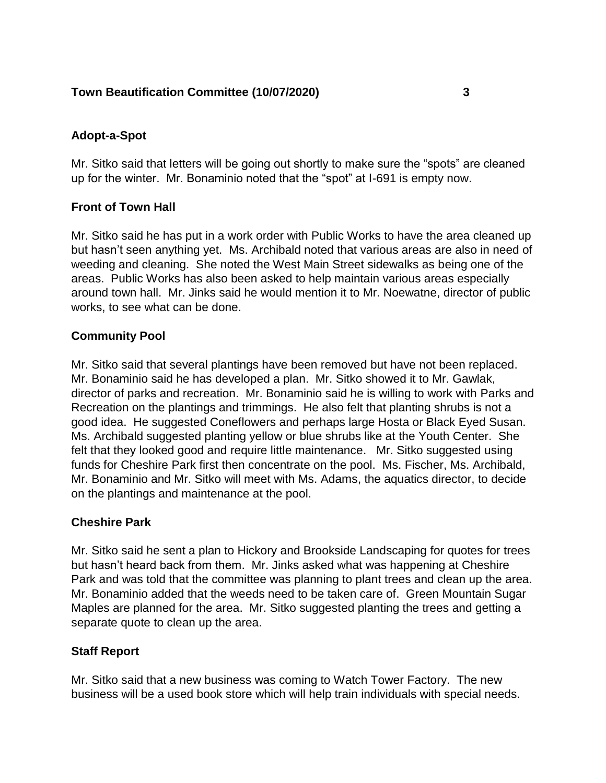# **Town Beautification Committee (10/07/2020) 3**

# **Adopt-a-Spot**

Mr. Sitko said that letters will be going out shortly to make sure the "spots" are cleaned up for the winter. Mr. Bonaminio noted that the "spot" at I-691 is empty now.

# **Front of Town Hall**

Mr. Sitko said he has put in a work order with Public Works to have the area cleaned up but hasn't seen anything yet. Ms. Archibald noted that various areas are also in need of weeding and cleaning. She noted the West Main Street sidewalks as being one of the areas. Public Works has also been asked to help maintain various areas especially around town hall. Mr. Jinks said he would mention it to Mr. Noewatne, director of public works, to see what can be done.

# **Community Pool**

Mr. Sitko said that several plantings have been removed but have not been replaced. Mr. Bonaminio said he has developed a plan. Mr. Sitko showed it to Mr. Gawlak, director of parks and recreation. Mr. Bonaminio said he is willing to work with Parks and Recreation on the plantings and trimmings. He also felt that planting shrubs is not a good idea. He suggested Coneflowers and perhaps large Hosta or Black Eyed Susan. Ms. Archibald suggested planting yellow or blue shrubs like at the Youth Center. She felt that they looked good and require little maintenance. Mr. Sitko suggested using funds for Cheshire Park first then concentrate on the pool. Ms. Fischer, Ms. Archibald, Mr. Bonaminio and Mr. Sitko will meet with Ms. Adams, the aquatics director, to decide on the plantings and maintenance at the pool.

# **Cheshire Park**

Mr. Sitko said he sent a plan to Hickory and Brookside Landscaping for quotes for trees but hasn't heard back from them. Mr. Jinks asked what was happening at Cheshire Park and was told that the committee was planning to plant trees and clean up the area. Mr. Bonaminio added that the weeds need to be taken care of. Green Mountain Sugar Maples are planned for the area. Mr. Sitko suggested planting the trees and getting a separate quote to clean up the area.

# **Staff Report**

Mr. Sitko said that a new business was coming to Watch Tower Factory. The new business will be a used book store which will help train individuals with special needs.